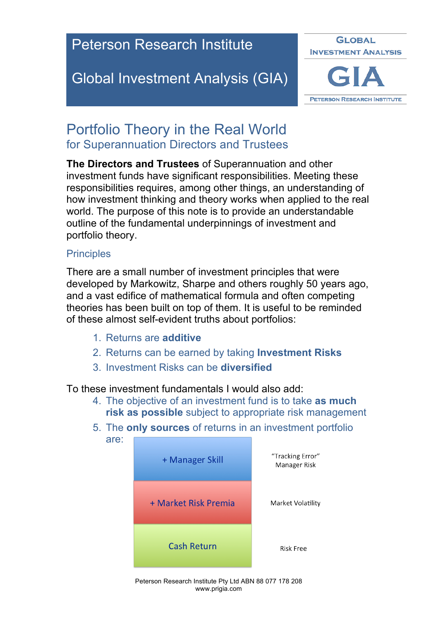## Peterson Research Institute

## Global Investment Analysis (GIA)



### Portfolio Theory in the Real World for Superannuation Directors and Trustees

**The Directors and Trustees** of Superannuation and other investment funds have significant responsibilities. Meeting these responsibilities requires, among other things, an understanding of how investment thinking and theory works when applied to the real world. The purpose of this note is to provide an understandable outline of the fundamental underpinnings of investment and portfolio theory.

#### **Principles**

There are a small number of investment principles that were developed by Markowitz, Sharpe and others roughly 50 years ago, and a vast edifice of mathematical formula and often competing theories has been built on top of them. It is useful to be reminded of these almost self-evident truths about portfolios:

- 1. Returns are **additive**
- 2. Returns can be earned by taking **Investment Risks**
- 3. Investment Risks can be **diversified**

To these investment fundamentals I would also add:

- 4. The objective of an investment fund is to take **as much risk as possible** subject to appropriate risk management
- 5. The **only sources** of returns in an investment portfolio are:



Peterson Research Institute Pty Ltd ABN 88 077 178 208 www.prigia.com